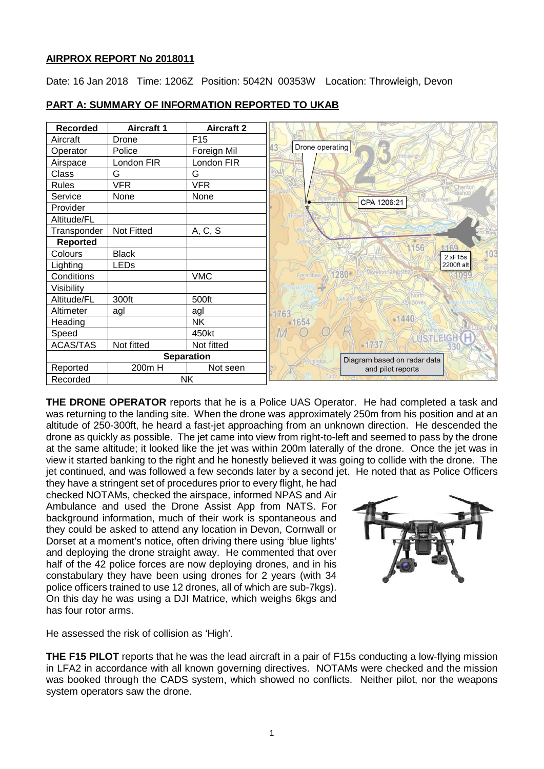### **AIRPROX REPORT No 2018011**

Date: 16 Jan 2018 Time: 1206Z Position: 5042N 00353W Location: Throwleigh, Devon

| <b>Recorded</b>       | <b>Aircraft 1</b> | <b>Aircraft 2</b> |                                       |
|-----------------------|-------------------|-------------------|---------------------------------------|
| Aircraft              | Drone             | F <sub>15</sub>   |                                       |
| Operator              | Police            | Foreign Mil       | Drone operating                       |
| Airspace              | London FIR        | London FIR        |                                       |
| <b>Class</b>          | G                 | G                 |                                       |
| <b>Rules</b>          | <b>VFR</b>        | <b>VFR</b>        | Cheritor<br>h Zeal                    |
| Service               | None              | None              | Crockernwell<br>CPA 1206:21           |
| Provider              |                   |                   |                                       |
| Altitude/FL           |                   |                   |                                       |
| Transponder           | <b>Not Fitted</b> | A, C, S           |                                       |
| <b>Reported</b>       |                   |                   | 156                                   |
| Colours               | <b>Black</b>      |                   | 2 xF15s                               |
| Lighting              | <b>LEDs</b>       |                   | 2200ft alt                            |
| Conditions            |                   | <b>VMC</b>        | etonham<br>1280<br>Frenchbeer         |
| Visibility            |                   |                   |                                       |
| Altitude/FL           | 300ft             | 500ft             | Lettaford<br><b>Bovey</b>             |
| Altimeter             | agl               | agl               | 1763                                  |
| Heading               |                   | <b>NK</b>         | $-1440$<br>$-1654$                    |
| Speed                 |                   | 450kt             | $\Lambda$<br>USTLEIG                  |
| ACAS/TAS              | Not fitted        | Not fitted        | $-1737$                               |
|                       |                   | <b>Separation</b> | Diagram based on radar data<br>tondae |
| Reported              | 200m H            | Not seen          | and pilot reports                     |
| <b>NK</b><br>Recorded |                   |                   |                                       |

## **PART A: SUMMARY OF INFORMATION REPORTED TO UKAB**

**THE DRONE OPERATOR** reports that he is a Police UAS Operator. He had completed a task and was returning to the landing site. When the drone was approximately 250m from his position and at an altitude of 250-300ft, he heard a fast-jet approaching from an unknown direction. He descended the drone as quickly as possible. The jet came into view from right-to-left and seemed to pass by the drone at the same altitude; it looked like the jet was within 200m laterally of the drone. Once the jet was in view it started banking to the right and he honestly believed it was going to collide with the drone. The jet continued, and was followed a few seconds later by a second jet. He noted that as Police Officers

they have a stringent set of procedures prior to every flight, he had checked NOTAMs, checked the airspace, informed NPAS and Air Ambulance and used the Drone Assist App from NATS. For background information, much of their work is spontaneous and they could be asked to attend any location in Devon, Cornwall or Dorset at a moment's notice, often driving there using 'blue lights' and deploying the drone straight away. He commented that over half of the 42 police forces are now deploying drones, and in his constabulary they have been using drones for 2 years (with 34 police officers trained to use 12 drones, all of which are sub-7kgs). On this day he was using a DJI Matrice, which weighs 6kgs and has four rotor arms.



He assessed the risk of collision as 'High'.

**THE F15 PILOT** reports that he was the lead aircraft in a pair of F15s conducting a low-flying mission in LFA2 in accordance with all known governing directives. NOTAMs were checked and the mission was booked through the CADS system, which showed no conflicts. Neither pilot, nor the weapons system operators saw the drone.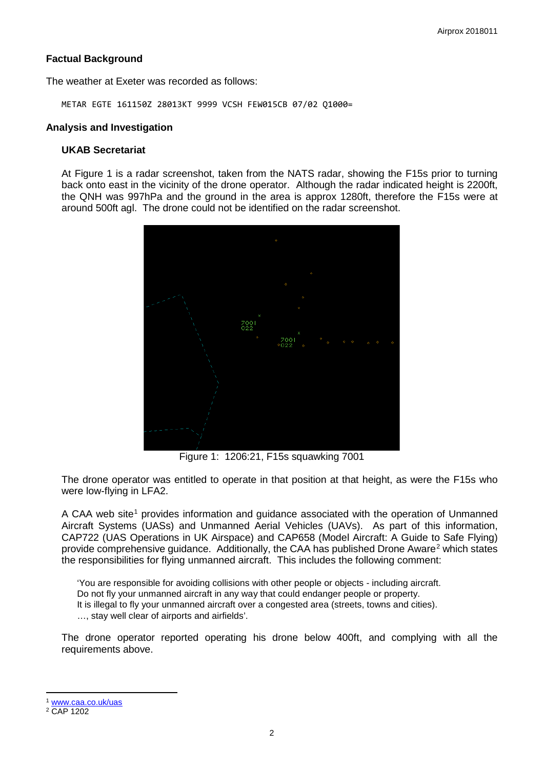## **Factual Background**

The weather at Exeter was recorded as follows:

METAR EGTE 161150Z 28013KT 9999 VCSH FEW015CB 07/02 Q1000=

#### **Analysis and Investigation**

#### **UKAB Secretariat**

At Figure 1 is a radar screenshot, taken from the NATS radar, showing the F15s prior to turning back onto east in the vicinity of the drone operator. Although the radar indicated height is 2200ft, the QNH was 997hPa and the ground in the area is approx 1280ft, therefore the F15s were at around 500ft agl. The drone could not be identified on the radar screenshot.



Figure 1: 1206:21, F15s squawking 7001

The drone operator was entitled to operate in that position at that height, as were the F15s who were low-flying in LFA2.

A CAA web site<sup>[1](#page-1-0)</sup> provides information and guidance associated with the operation of Unmanned Aircraft Systems (UASs) and Unmanned Aerial Vehicles (UAVs). As part of this information, CAP722 (UAS Operations in UK Airspace) and CAP658 (Model Aircraft: A Guide to Safe Flying) provide comprehensive guidance. Additionally, the CAA has published Drone Aware<sup>[2](#page-1-1)</sup> which states the responsibilities for flying unmanned aircraft. This includes the following comment:

'You are responsible for avoiding collisions with other people or objects - including aircraft. Do not fly your unmanned aircraft in any way that could endanger people or property. It is illegal to fly your unmanned aircraft over a congested area (streets, towns and cities). …, stay well clear of airports and airfields'.

The drone operator reported operating his drone below 400ft, and complying with all the requirements above.

l

<span id="page-1-0"></span>[www.caa.co.uk/uas](http://www.caa.co.uk/uas)

<span id="page-1-1"></span><sup>2</sup> CAP 1202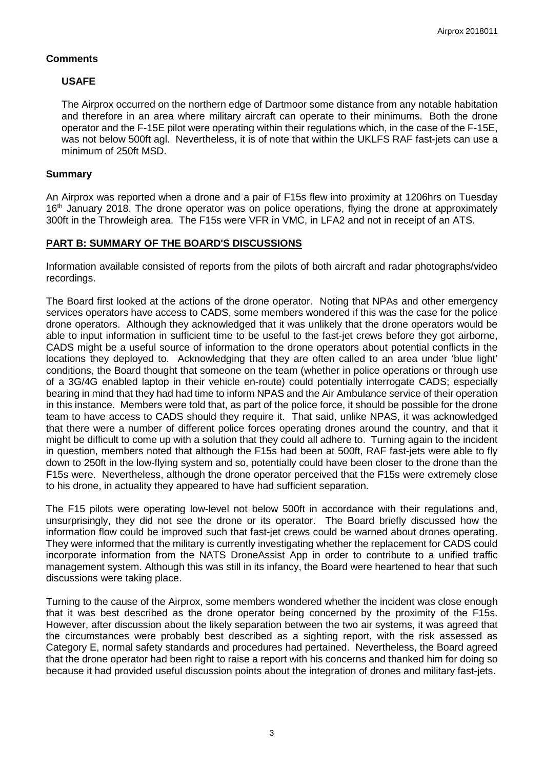## **Comments**

## **USAFE**

The Airprox occurred on the northern edge of Dartmoor some distance from any notable habitation and therefore in an area where military aircraft can operate to their minimums. Both the drone operator and the F-15E pilot were operating within their regulations which, in the case of the F-15E, was not below 500ft agl. Nevertheless, it is of note that within the UKLFS RAF fast-jets can use a minimum of 250ft MSD.

## **Summary**

An Airprox was reported when a drone and a pair of F15s flew into proximity at 1206hrs on Tuesday 16<sup>th</sup> January 2018. The drone operator was on police operations, flying the drone at approximately 300ft in the Throwleigh area. The F15s were VFR in VMC, in LFA2 and not in receipt of an ATS.

# **PART B: SUMMARY OF THE BOARD'S DISCUSSIONS**

Information available consisted of reports from the pilots of both aircraft and radar photographs/video recordings.

The Board first looked at the actions of the drone operator. Noting that NPAs and other emergency services operators have access to CADS, some members wondered if this was the case for the police drone operators. Although they acknowledged that it was unlikely that the drone operators would be able to input information in sufficient time to be useful to the fast-jet crews before they got airborne, CADS might be a useful source of information to the drone operators about potential conflicts in the locations they deployed to. Acknowledging that they are often called to an area under 'blue light' conditions, the Board thought that someone on the team (whether in police operations or through use of a 3G/4G enabled laptop in their vehicle en-route) could potentially interrogate CADS; especially bearing in mind that they had had time to inform NPAS and the Air Ambulance service of their operation in this instance. Members were told that, as part of the police force, it should be possible for the drone team to have access to CADS should they require it. That said, unlike NPAS, it was acknowledged that there were a number of different police forces operating drones around the country, and that it might be difficult to come up with a solution that they could all adhere to. Turning again to the incident in question, members noted that although the F15s had been at 500ft, RAF fast-jets were able to fly down to 250ft in the low-flying system and so, potentially could have been closer to the drone than the F15s were. Nevertheless, although the drone operator perceived that the F15s were extremely close to his drone, in actuality they appeared to have had sufficient separation.

The F15 pilots were operating low-level not below 500ft in accordance with their regulations and, unsurprisingly, they did not see the drone or its operator. The Board briefly discussed how the information flow could be improved such that fast-jet crews could be warned about drones operating. They were informed that the military is currently investigating whether the replacement for CADS could incorporate information from the NATS DroneAssist App in order to contribute to a unified traffic management system. Although this was still in its infancy, the Board were heartened to hear that such discussions were taking place.

Turning to the cause of the Airprox, some members wondered whether the incident was close enough that it was best described as the drone operator being concerned by the proximity of the F15s. However, after discussion about the likely separation between the two air systems, it was agreed that the circumstances were probably best described as a sighting report, with the risk assessed as Category E, normal safety standards and procedures had pertained. Nevertheless, the Board agreed that the drone operator had been right to raise a report with his concerns and thanked him for doing so because it had provided useful discussion points about the integration of drones and military fast-jets.